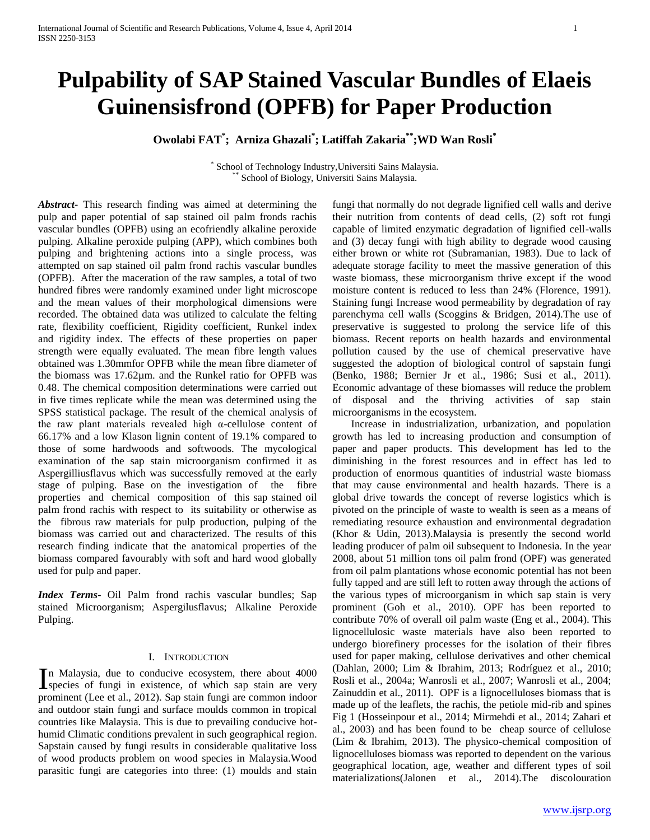# **Pulpability of SAP Stained Vascular Bundles of Elaeis Guinensisfrond (OPFB) for Paper Production**

**Owolabi FAT\* ; Arniza Ghazali\* ; Latiffah Zakaria\*\*;WD Wan Rosli\***

\* School of Technology Industry,Universiti Sains Malaysia. School of Biology, Universiti Sains Malaysia.

*Abstract***-** This research finding was aimed at determining the pulp and paper potential of sap stained oil palm fronds rachis vascular bundles (OPFB) using an ecofriendly alkaline peroxide pulping. Alkaline peroxide pulping (APP), which combines both pulping and brightening actions into a single process, was attempted on sap stained oil palm frond rachis vascular bundles (OPFB). After the maceration of the raw samples, a total of two hundred fibres were randomly examined under light microscope and the mean values of their morphological dimensions were recorded. The obtained data was utilized to calculate the felting rate, flexibility coefficient, Rigidity coefficient, Runkel index and rigidity index. The effects of these properties on paper strength were equally evaluated. The mean fibre length values obtained was 1.30mmfor OPFB while the mean fibre diameter of the biomass was 17.62µm. and the Runkel ratio for OPFB was 0.48. The chemical composition determinations were carried out in five times replicate while the mean was determined using the SPSS statistical package. The result of the chemical analysis of the raw plant materials revealed high α-cellulose content of 66.17% and a low Klason lignin content of 19.1% compared to those of some hardwoods and softwoods. The mycological examination of the sap stain microorganism confirmed it as Aspergilliusflavus which was successfully removed at the early stage of pulping. Base on the investigation of the fibre properties and chemical composition of this sap stained oil palm frond rachis with respect to its suitability or otherwise as the fibrous raw materials for pulp production, pulping of the biomass was carried out and characterized. The results of this research finding indicate that the anatomical properties of the biomass compared favourably with soft and hard wood globally used for pulp and paper.

*Index Terms*- Oil Palm frond rachis vascular bundles; Sap stained Microorganism; Aspergilusflavus; Alkaline Peroxide Pulping.

# I. INTRODUCTION

n Malaysia, due to conducive ecosystem, there about 4000 In Malaysia, due to conducive ecosystem, there about 4000 species of fungi in existence, of which sap stain are very prominent (Lee et al., 2012). Sap stain fungi are common indoor and outdoor stain fungi and surface moulds common in tropical countries like Malaysia. This is due to prevailing conducive hothumid Climatic conditions prevalent in such geographical region. Sapstain caused by fungi results in considerable qualitative loss of wood products problem on wood species in Malaysia.Wood parasitic fungi are categories into three: (1) moulds and stain

fungi that normally do not degrade lignified cell walls and derive their nutrition from contents of dead cells, (2) soft rot fungi capable of limited enzymatic degradation of lignified cell-walls and (3) decay fungi with high ability to degrade wood causing either brown or white rot (Subramanian, 1983). Due to lack of adequate storage facility to meet the massive generation of this waste biomass, these microorganism thrive except if the wood moisture content is reduced to less than 24% (Florence, 1991). Staining fungi Increase wood permeability by degradation of ray parenchyma cell walls (Scoggins & Bridgen, 2014).The use of preservative is suggested to prolong the service life of this biomass. Recent reports on health hazards and environmental pollution caused by the use of chemical preservative have suggested the adoption of biological control of sapstain fungi (Benko, 1988; Bernier Jr et al., 1986; Susi et al., 2011). Economic advantage of these biomasses will reduce the problem of disposal and the thriving activities of sap stain microorganisms in the ecosystem.

 Increase in industrialization, urbanization, and population growth has led to increasing production and consumption of paper and paper products. This development has led to the diminishing in the forest resources and in effect has led to production of enormous quantities of industrial waste biomass that may cause environmental and health hazards. There is a global drive towards the concept of reverse logistics which is pivoted on the principle of waste to wealth is seen as a means of remediating resource exhaustion and environmental degradation (Khor & Udin, 2013).Malaysia is presently the second world leading producer of palm oil subsequent to Indonesia. In the year 2008, about 51 million tons oil palm frond (OPF) was generated from oil palm plantations whose economic potential has not been fully tapped and are still left to rotten away through the actions of the various types of microorganism in which sap stain is very prominent (Goh et al., 2010). OPF has been reported to contribute 70% of overall oil palm waste (Eng et al., 2004). This lignocellulosic waste materials have also been reported to undergo biorefinery processes for the isolation of their fibres used for paper making, cellulose derivatives and other chemical (Dahlan, 2000; Lim & Ibrahim, 2013; Rodríguez et al., 2010; Rosli et al., 2004a; Wanrosli et al., 2007; Wanrosli et al., 2004; Zainuddin et al., 2011). OPF is a lignocelluloses biomass that is made up of the leaflets, the rachis, the petiole mid-rib and spines Fig 1 (Hosseinpour et al., 2014; Mirmehdi et al., 2014; Zahari et al., 2003) and has been found to be cheap source of cellulose (Lim & Ibrahim, 2013). The physico-chemical composition of lignocelluloses biomass was reported to dependent on the various geographical location, age, weather and different types of soil materializations(Jalonen et al., 2014).The discolouration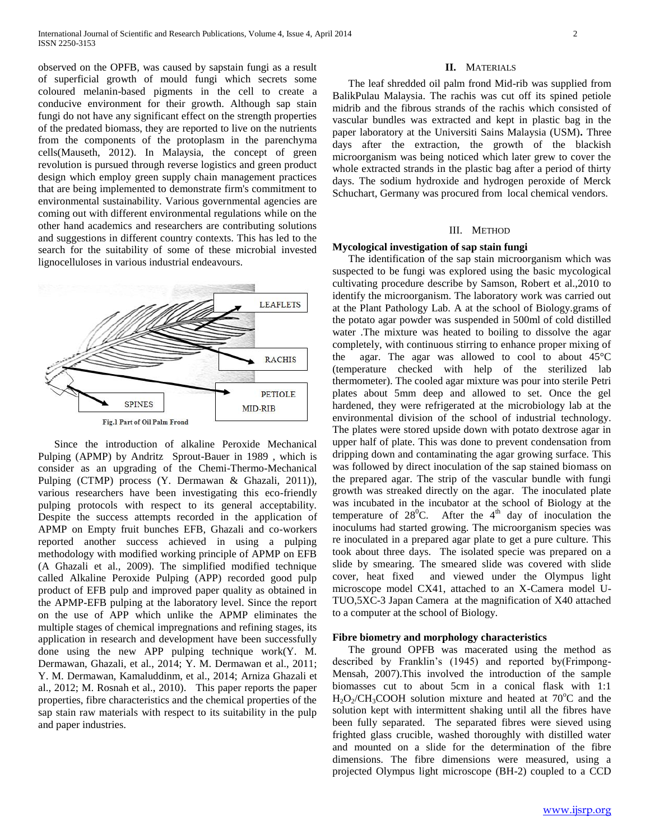observed on the OPFB, was caused by sapstain fungi as a result of superficial growth of mould fungi which secrets some coloured melanin-based pigments in the cell to create a conducive environment for their growth. Although sap stain fungi do not have any significant effect on the strength properties of the predated biomass, they are reported to live on the nutrients from the components of the protoplasm in the parenchyma cells(Mauseth, 2012). In Malaysia, the concept of green revolution is pursued through reverse logistics and green product design which employ green supply chain management practices that are being implemented to demonstrate firm's commitment to environmental sustainability. Various governmental agencies are coming out with different environmental regulations while on the other hand academics and researchers are contributing solutions and suggestions in different country contexts. This has led to the search for the suitability of some of these microbial invested lignocelluloses in various industrial endeavours.



 Since the introduction of alkaline Peroxide Mechanical Pulping (APMP) by Andritz Sprout-Bauer in 1989 , which is consider as an upgrading of the Chemi-Thermo-Mechanical Pulping (CTMP) process (Y. Dermawan & Ghazali, 2011)), various researchers have been investigating this eco-friendly pulping protocols with respect to its general acceptability. Despite the success attempts recorded in the application of APMP on Empty fruit bunches EFB, Ghazali and co-workers reported another success achieved in using a pulping methodology with modified working principle of APMP on EFB (A Ghazali et al., 2009). The simplified modified technique called Alkaline Peroxide Pulping (APP) recorded good pulp product of EFB pulp and improved paper quality as obtained in the APMP-EFB pulping at the laboratory level. Since the report on the use of APP which unlike the APMP eliminates the multiple stages of chemical impregnations and refining stages, its application in research and development have been successfully done using the new APP pulping technique work(Y. M. Dermawan, Ghazali, et al., 2014; Y. M. Dermawan et al., 2011; Y. M. Dermawan, Kamaluddinm, et al., 2014; Arniza Ghazali et al., 2012; M. Rosnah et al., 2010). This paper reports the paper properties, fibre characteristics and the chemical properties of the sap stain raw materials with respect to its suitability in the pulp and paper industries.

#### **II.** MATERIALS

 The leaf shredded oil palm frond Mid-rib was supplied from BalikPulau Malaysia. The rachis was cut off its spined petiole midrib and the fibrous strands of the rachis which consisted of vascular bundles was extracted and kept in plastic bag in the paper laboratory at the Universiti Sains Malaysia (USM)**.** Three days after the extraction, the growth of the blackish microorganism was being noticed which later grew to cover the whole extracted strands in the plastic bag after a period of thirty days. The sodium hydroxide and hydrogen peroxide of Merck Schuchart, Germany was procured from local chemical vendors.

# III. METHOD

#### **Mycological investigation of sap stain fungi**

 The identification of the sap stain microorganism which was suspected to be fungi was explored using the basic mycological cultivating procedure describe by Samson, Robert et al.,2010 to identify the microorganism. The laboratory work was carried out at the Plant Pathology Lab. A at the school of Biology.grams of the potato agar powder was suspended in 500ml of cold distilled water .The mixture was heated to boiling to dissolve the agar completely, with continuous stirring to enhance proper mixing of the agar. The agar was allowed to cool to about 45°C (temperature checked with help of the sterilized lab thermometer). The cooled agar mixture was pour into sterile Petri plates about 5mm deep and allowed to set. Once the gel hardened, they were refrigerated at the microbiology lab at the environmental division of the school of industrial technology. The plates were stored upside down with potato dextrose agar in upper half of plate. This was done to prevent condensation from dripping down and contaminating the agar growing surface. This was followed by direct inoculation of the sap stained biomass on the prepared agar. The strip of the vascular bundle with fungi growth was streaked directly on the agar. The inoculated plate was incubated in the incubator at the school of Biology at the temperature of  $28^{\circ}$ C. After the  $4^{\circ}$  day of inoculation the inoculums had started growing. The microorganism species was re inoculated in a prepared agar plate to get a pure culture. This took about three days. The isolated specie was prepared on a slide by smearing. The smeared slide was covered with slide cover, heat fixed and viewed under the Olympus light microscope model CX41, attached to an X-Camera model U-TUO,5XC-3 Japan Camera at the magnification of X40 attached to a computer at the school of Biology.

#### **Fibre biometry and morphology characteristics**

 The ground OPFB was macerated using the method as described by Franklin's (1945) and reported by(Frimpong-Mensah, 2007).This involved the introduction of the sample biomasses cut to about 5cm in a conical flask with 1:1  $H_2O_2/CH_3COOH$  solution mixture and heated at 70<sup>o</sup>C and the solution kept with intermittent shaking until all the fibres have been fully separated. The separated fibres were sieved using frighted glass crucible, washed thoroughly with distilled water and mounted on a slide for the determination of the fibre dimensions. The fibre dimensions were measured, using a projected Olympus light microscope (BH-2) coupled to a CCD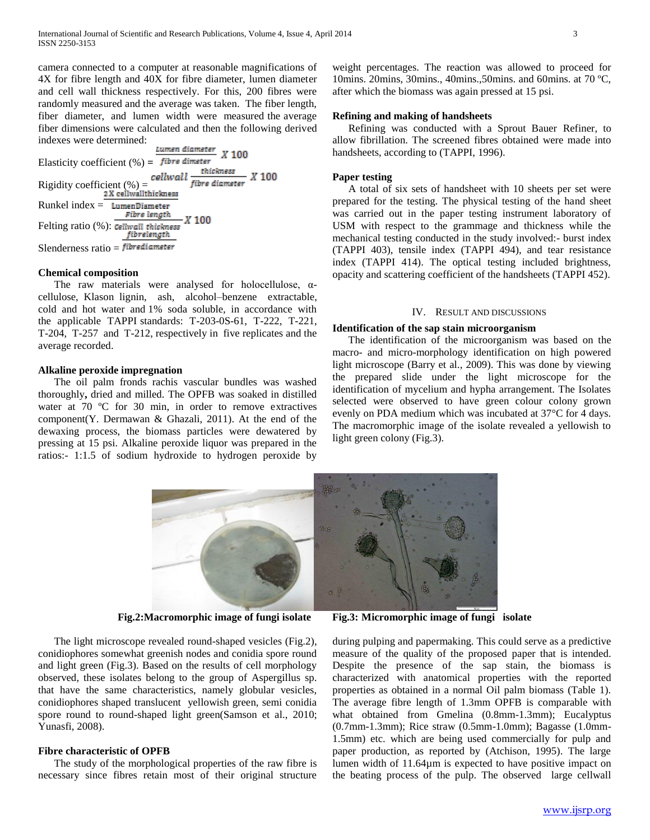camera connected to a computer at reasonable magnifications of 4X for fibre length and 40X for fibre diameter, lumen diameter and cell wall thickness respectively. For this, 200 fibres were randomly measured and the average was taken. The fiber length, fiber diameter, and lumen width were measured the average fiber dimensions were calculated and then the following derived indexes were determined:

Lumen diameter  $X$ 100 Elasticity coefficient  $(\%) =$  fibre dimeter thickness  $X$  100 Rigidity coefficient  $\left(\% \right) =$ <br>2X cellwallthickness fibre diameter  $Runkel index = **LumenDiameter**$ Fibre length *X* 100 Felting ratio (%): Cellwall thickness fibrelength Slenderness ratio  $=$  fibrediameter

#### **Chemical composition**

The raw materials were analysed for holocellulose,  $\alpha$ cellulose, Klason lignin, ash, alcohol–benzene extractable, cold and hot water and 1% soda soluble, in accordance with the applicable TAPPI standards: T-203-0S-61, T-222, T-221, T-204, T-257 and T-212, respectively in five replicates and the average recorded.

# **Alkaline peroxide impregnation**

 The oil palm fronds rachis vascular bundles was washed thoroughly**,** dried and milled. The OPFB was soaked in distilled water at 70 °C for 30 min, in order to remove extractives component(Y. Dermawan & Ghazali, 2011). At the end of the dewaxing process, the biomass particles were dewatered by pressing at 15 psi. Alkaline peroxide liquor was prepared in the ratios:- 1:1.5 of sodium hydroxide to hydrogen peroxide by weight percentages. The reaction was allowed to proceed for 10mins. 20mins, 30mins., 40mins.,50mins. and 60mins. at 70 ºC, after which the biomass was again pressed at 15 psi.

# **Refining and making of handsheets**

 Refining was conducted with a Sprout Bauer Refiner, to allow fibrillation. The screened fibres obtained were made into handsheets, according to (TAPPI, 1996).

#### **Paper testing**

 A total of six sets of handsheet with 10 sheets per set were prepared for the testing. The physical testing of the hand sheet was carried out in the paper testing instrument laboratory of USM with respect to the grammage and thickness while the mechanical testing conducted in the study involved:- burst index (TAPPI 403), tensile index (TAPPI 494), and tear resistance index (TAPPI 414). The optical testing included brightness, opacity and scattering coefficient of the handsheets (TAPPI 452).

#### IV. RESULT AND DISCUSSIONS

#### **Identification of the sap stain microorganism**

 The identification of the microorganism was based on the macro- and micro-morphology identification on high powered light microscope (Barry et al., 2009). This was done by viewing the prepared slide under the light microscope for the identification of mycelium and hypha arrangement. The Isolates selected were observed to have green colour colony grown evenly on PDA medium which was incubated at 37°C for 4 days. The macromorphic image of the isolate revealed a yellowish to light green colony (Fig.3).



 The light microscope revealed round-shaped vesicles (Fig.2), conidiophores somewhat greenish nodes and conidia spore round and light green (Fig.3). Based on the results of cell morphology observed, these isolates belong to the group of Aspergillus sp. that have the same characteristics, namely globular vesicles, conidiophores shaped translucent yellowish green, semi conidia spore round to round-shaped light green(Samson et al., 2010; Yunasfi, 2008).

# **Fibre characteristic of OPFB**

 The study of the morphological properties of the raw fibre is necessary since fibres retain most of their original structure

**Fig.2:Macromorphic image of fungi isolate Fig.3: Micromorphic image of fungi isolate**

during pulping and papermaking. This could serve as a predictive measure of the quality of the proposed paper that is intended. Despite the presence of the sap stain, the biomass is characterized with anatomical properties with the reported properties as obtained in a normal Oil palm biomass (Table 1). The average fibre length of 1.3mm OPFB is comparable with what obtained from Gmelina (0.8mm-1.3mm); Eucalyptus (0.7mm-1.3mm); Rice straw (0.5mm-1.0mm); Bagasse (1.0mm-1.5mm) etc. which are being used commercially for pulp and paper production, as reported by (Atchison, 1995). The large lumen width of 11.64µm is expected to have positive impact on the beating process of the pulp. The observed large cellwall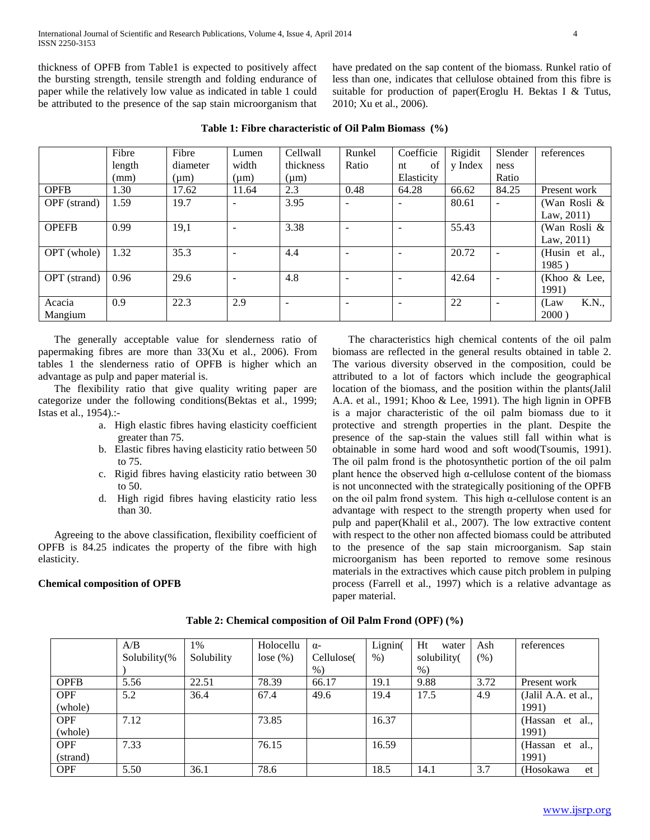thickness of OPFB from Table1 is expected to positively affect the bursting strength, tensile strength and folding endurance of paper while the relatively low value as indicated in table 1 could be attributed to the presence of the sap stain microorganism that have predated on the sap content of the biomass. Runkel ratio of less than one, indicates that cellulose obtained from this fibre is suitable for production of paper(Eroglu H. Bektas I & Tutus, 2010; Xu et al., 2006).

|              | Fibre  | Fibre     | Lumen                    | Cellwall                 | Runkel                   | Coefficie  | Rigidit | Slender | references            |
|--------------|--------|-----------|--------------------------|--------------------------|--------------------------|------------|---------|---------|-----------------------|
|              | length | diameter  | width                    | thickness                | Ratio                    | of<br>nt   | y Index | ness    |                       |
|              | (mm)   | $(\mu m)$ | $(\mu m)$                | $(\mu m)$                |                          | Elasticity |         | Ratio   |                       |
| <b>OPFB</b>  | 1.30   | 17.62     | 11.64                    | 2.3                      | 0.48                     | 64.28      | 66.62   | 84.25   | Present work          |
| OPF (strand) | 1.59   | 19.7      | -                        | 3.95                     | $\overline{\phantom{a}}$ |            | 80.61   |         | (Wan Rosli &          |
|              |        |           |                          |                          |                          |            |         |         | Law, $2011$ )         |
| <b>OPEFB</b> | 0.99   | 19,1      | $\overline{\phantom{a}}$ | 3.38                     | $\overline{\phantom{a}}$ |            | 55.43   |         | (Wan Rosli &          |
|              |        |           |                          |                          |                          |            |         |         | Law, $2011$ )         |
| OPT (whole)  | 1.32   | 35.3      | -                        | 4.4                      | ٠                        |            | 20.72   |         | (Husin et al.,        |
|              |        |           |                          |                          |                          |            |         |         | 1985)                 |
| OPT (strand) | 0.96   | 29.6      | $\overline{\phantom{a}}$ | 4.8                      | ٠                        |            | 42.64   |         | (Khoo $&$ Lee,        |
|              |        |           |                          |                          |                          |            |         |         | 1991)                 |
| Acacia       | 0.9    | 22.3      | 2.9                      | $\overline{\phantom{a}}$ | $\overline{\phantom{a}}$ |            | 22      |         | <b>K.N.,</b><br>(Law) |
| Mangium      |        |           |                          |                          |                          |            |         |         | 2000                  |

**Table 1: Fibre characteristic of Oil Palm Biomass (%)**

 The generally acceptable value for slenderness ratio of papermaking fibres are more than 33(Xu et al., 2006). From tables 1 the slenderness ratio of OPFB is higher which an advantage as pulp and paper material is.

 The flexibility ratio that give quality writing paper are categorize under the following conditions(Bektas et al., 1999; Istas et al., 1954).:-

- a. High elastic fibres having elasticity coefficient greater than 75.
- b. Elastic fibres having elasticity ratio between 50 to 75.
- c. Rigid fibres having elasticity ratio between 30 to 50.
- d. High rigid fibres having elasticity ratio less than 30.

 Agreeing to the above classification, flexibility coefficient of OPFB is 84.25 indicates the property of the fibre with high elasticity.

# **Chemical composition of OPFB**

 The characteristics high chemical contents of the oil palm biomass are reflected in the general results obtained in table 2. The various diversity observed in the composition, could be attributed to a lot of factors which include the geographical location of the biomass, and the position within the plants(Jalil A.A. et al., 1991; Khoo & Lee, 1991). The high lignin in OPFB is a major characteristic of the oil palm biomass due to it protective and strength properties in the plant. Despite the presence of the sap-stain the values still fall within what is obtainable in some hard wood and soft wood(Tsoumis, 1991). The oil palm frond is the photosynthetic portion of the oil palm plant hence the observed high  $α$ -cellulose content of the biomass is not unconnected with the strategically positioning of the OPFB on the oil palm frond system. This high  $\alpha$ -cellulose content is an advantage with respect to the strength property when used for pulp and paper(Khalil et al., 2007). The low extractive content with respect to the other non affected biomass could be attributed to the presence of the sap stain microorganism. Sap stain microorganism has been reported to remove some resinous materials in the extractives which cause pitch problem in pulping process (Farrell et al., 1997) which is a relative advantage as paper material.

|             | A/B          | 1%         | Holocellu | $\alpha$ - | Lignin( | Ht<br>water | Ash    | references            |
|-------------|--------------|------------|-----------|------------|---------|-------------|--------|-----------------------|
|             | Solubility(% | Solubility | lose (%)  | Cellulose( | $%$ )   | solubility( | $(\%)$ |                       |
|             |              |            |           | $%$ )      |         | $\%$ )      |        |                       |
| <b>OPFB</b> | 5.56         | 22.51      | 78.39     | 66.17      | 19.1    | 9.88        | 3.72   | Present work          |
| <b>OPF</b>  | 5.2          | 36.4       | 67.4      | 49.6       | 19.4    | 17.5        | 4.9    | (Jalil A.A. et al.,   |
| (whole)     |              |            |           |            |         |             |        | 1991)                 |
| <b>OPF</b>  | 7.12         |            | 73.85     |            | 16.37   |             |        | (Hassan<br>al.,<br>et |
| (whole)     |              |            |           |            |         |             |        | 1991)                 |
| <b>OPF</b>  | 7.33         |            | 76.15     |            | 16.59   |             |        | (Hassan<br>al.,<br>et |
| (strand)    |              |            |           |            |         |             |        | 1991)                 |
| <b>OPF</b>  | 5.50         | 36.1       | 78.6      |            | 18.5    | 14.1        | 3.7    | (Hosokawa<br>et       |

**Table 2: Chemical composition of Oil Palm Frond (OPF) (%)**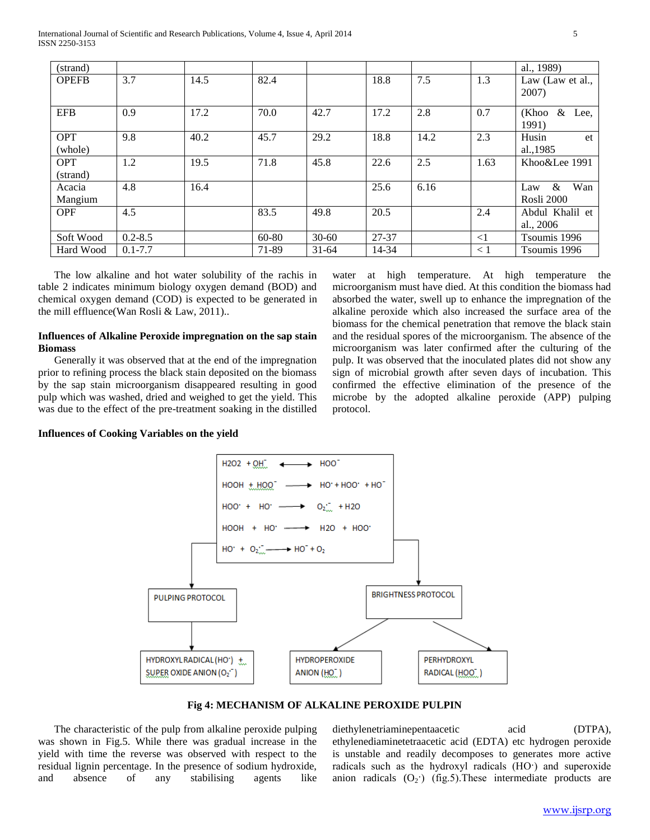International Journal of Scientific and Research Publications, Volume 4, Issue 4, April 2014 5 ISSN 2250-3153

| (strand)               |             |      |       |           |       |      |          | al., 1989)                       |
|------------------------|-------------|------|-------|-----------|-------|------|----------|----------------------------------|
| <b>OPEFB</b>           | 3.7         | 14.5 | 82.4  |           | 18.8  | 7.5  | 1.3      | Law (Law et al.,<br>2007)        |
| <b>EFB</b>             | 0.9         | 17.2 | 70.0  | 42.7      | 17.2  | 2.8  | 0.7      | (Khoo<br>$\&$<br>Lee.<br>1991)   |
| <b>OPT</b><br>(whole)  | 9.8         | 40.2 | 45.7  | 29.2      | 18.8  | 14.2 | 2.3      | Husin<br>et<br>al., 1985         |
| <b>OPT</b><br>(strand) | 1.2         | 19.5 | 71.8  | 45.8      | 22.6  | 2.5  | 1.63     | Khoo&Lee 1991                    |
| Acacia<br>Mangium      | 4.8         | 16.4 |       |           | 25.6  | 6.16 |          | Wan<br>$\&$<br>Law<br>Rosli 2000 |
| <b>OPF</b>             | 4.5         |      | 83.5  | 49.8      | 20.5  |      | 2.4      | Abdul Khalil et<br>al., 2006     |
| Soft Wood              | $0.2 - 8.5$ |      | 60-80 | $30 - 60$ | 27-37 |      | $\leq$ 1 | Tsoumis 1996                     |
| Hard Wood              | $0.1 - 7.7$ |      | 71-89 | $31 - 64$ | 14-34 |      | $\leq 1$ | Tsoumis 1996                     |

 The low alkaline and hot water solubility of the rachis in table 2 indicates minimum biology oxygen demand (BOD) and chemical oxygen demand (COD) is expected to be generated in the mill effluence(Wan Rosli & Law, 2011)..

# **Influences of Alkaline Peroxide impregnation on the sap stain Biomass**

 Generally it was observed that at the end of the impregnation prior to refining process the black stain deposited on the biomass by the sap stain microorganism disappeared resulting in good pulp which was washed, dried and weighed to get the yield. This was due to the effect of the pre-treatment soaking in the distilled water at high temperature. At high temperature the microorganism must have died. At this condition the biomass had absorbed the water, swell up to enhance the impregnation of the alkaline peroxide which also increased the surface area of the biomass for the chemical penetration that remove the black stain and the residual spores of the microorganism. The absence of the microorganism was later confirmed after the culturing of the pulp. It was observed that the inoculated plates did not show any sign of microbial growth after seven days of incubation. This confirmed the effective elimination of the presence of the microbe by the adopted alkaline peroxide (APP) pulping protocol.

**Influences of Cooking Variables on the yield**



**Fig 4: MECHANISM OF ALKALINE PEROXIDE PULPIN**

 The characteristic of the pulp from alkaline peroxide pulping was shown in Fig.5. While there was gradual increase in the yield with time the reverse was observed with respect to the residual lignin percentage. In the presence of sodium hydroxide, and absence of any stabilising agents like diethylenetriaminepentaacetic acid (DTPA), ethylenediaminetetraacetic acid (EDTA) etc hydrogen peroxide is unstable and readily decomposes to generates more active radicals such as the hydroxyl radicals (HO·) and superoxide anion radicals  $(O_2)$  (fig.5). These intermediate products are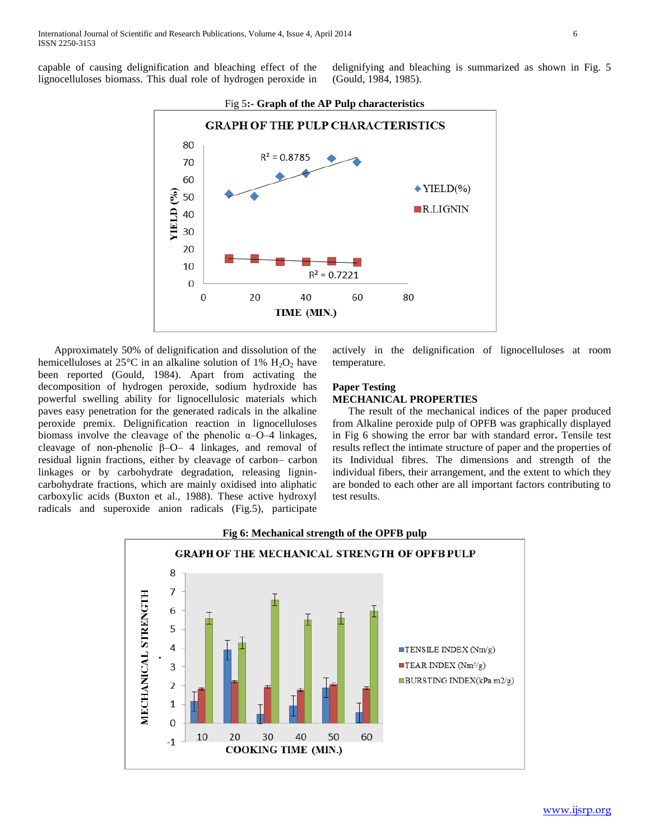capable of causing delignification and bleaching effect of the lignocelluloses biomass. This dual role of hydrogen peroxide in

delignifying and bleaching is summarized as shown in Fig. 5 (Gould, 1984, 1985).



 Approximately 50% of delignification and dissolution of the hemicelluloses at 25 $\degree$ C in an alkaline solution of 1% H<sub>2</sub>O<sub>2</sub> have been reported (Gould, 1984). Apart from activating the decomposition of hydrogen peroxide, sodium hydroxide has powerful swelling ability for lignocellulosic materials which paves easy penetration for the generated radicals in the alkaline peroxide premix. Delignification reaction in lignocelluloses biomass involve the cleavage of the phenolic  $\alpha$ –O–4 linkages, cleavage of non-phenolic β–O– 4 linkages, and removal of residual lignin fractions, either by cleavage of carbon– carbon linkages or by carbohydrate degradation, releasing lignincarbohydrate fractions, which are mainly oxidised into aliphatic carboxylic acids (Buxton et al., 1988). These active hydroxyl radicals and superoxide anion radicals (Fig.5), participate actively in the delignification of lignocelluloses at room temperature.

# **Paper Testing**

# **MECHANICAL PROPERTIES**

 The result of the mechanical indices of the paper produced from Alkaline peroxide pulp of OPFB was graphically displayed in Fig 6 showing the error bar with standard error**.** Tensile test results reflect the intimate structure of paper and the properties of its Individual fibres. The dimensions and strength of the individual fibers, their arrangement, and the extent to which they are bonded to each other are all important factors contributing to test results.

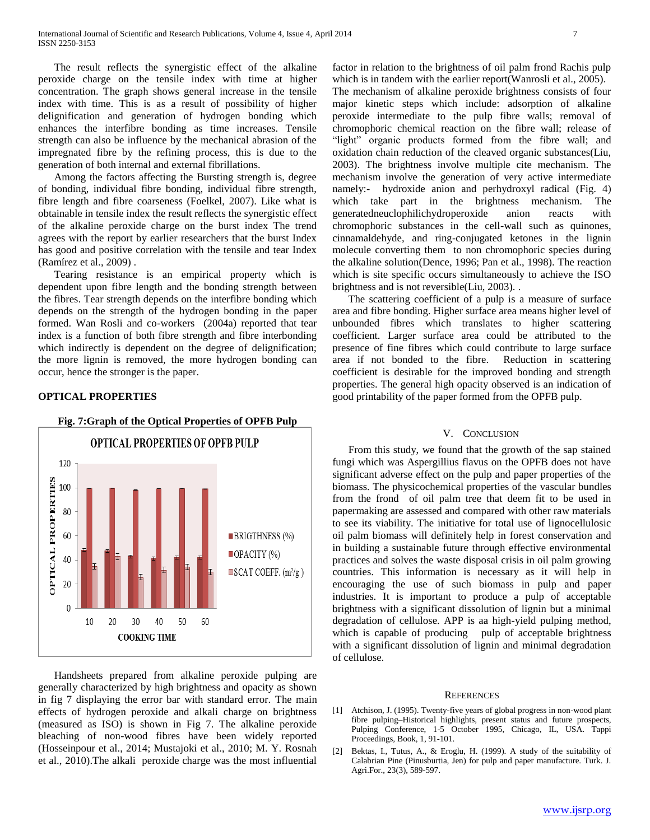The result reflects the synergistic effect of the alkaline peroxide charge on the tensile index with time at higher concentration. The graph shows general increase in the tensile index with time. This is as a result of possibility of higher delignification and generation of hydrogen bonding which enhances the interfibre bonding as time increases. Tensile strength can also be influence by the mechanical abrasion of the impregnated fibre by the refining process, this is due to the generation of both internal and external fibrillations.

 Among the factors affecting the Bursting strength is, degree of bonding, individual fibre bonding, individual fibre strength, fibre length and fibre coarseness (Foelkel, 2007). Like what is obtainable in tensile index the result reflects the synergistic effect of the alkaline peroxide charge on the burst index The trend agrees with the report by earlier researchers that the burst Index has good and positive correlation with the tensile and tear Index (Ramírez et al., 2009) .

 Tearing resistance is an empirical property which is dependent upon fibre length and the bonding strength between the fibres. Tear strength depends on the interfibre bonding which depends on the strength of the hydrogen bonding in the paper formed. Wan Rosli and co-workers (2004a) reported that tear index is a function of both fibre strength and fibre interbonding which indirectly is dependent on the degree of delignification; the more lignin is removed, the more hydrogen bonding can occur, hence the stronger is the paper.

# **OPTICAL PROPERTIES**



 Handsheets prepared from alkaline peroxide pulping are generally characterized by high brightness and opacity as shown in fig 7 displaying the error bar with standard error. The main effects of hydrogen peroxide and alkali charge on brightness (measured as ISO) is shown in Fig 7. The alkaline peroxide bleaching of non-wood fibres have been widely reported (Hosseinpour et al., 2014; Mustajoki et al., 2010; M. Y. Rosnah et al., 2010).The alkali peroxide charge was the most influential

factor in relation to the brightness of oil palm frond Rachis pulp which is in tandem with the earlier report(Wanrosli et al., 2005). The mechanism of alkaline peroxide brightness consists of four major kinetic steps which include: adsorption of alkaline peroxide intermediate to the pulp fibre walls; removal of chromophoric chemical reaction on the fibre wall; release of "light" organic products formed from the fibre wall; and oxidation chain reduction of the cleaved organic substances(Liu, 2003). The brightness involve multiple cite mechanism. The mechanism involve the generation of very active intermediate namely:- hydroxide anion and perhydroxyl radical (Fig. 4) which take part in the brightness mechanism. The generatedneuclophilichydroperoxide anion reacts with chromophoric substances in the cell-wall such as quinones, cinnamaldehyde, and ring-conjugated ketones in the lignin molecule converting them to non chromophoric species during the alkaline solution(Dence, 1996; Pan et al., 1998). The reaction which is site specific occurs simultaneously to achieve the ISO brightness and is not reversible(Liu, 2003). .

 The scattering coefficient of a pulp is a measure of surface area and fibre bonding. Higher surface area means higher level of unbounded fibres which translates to higher scattering coefficient. Larger surface area could be attributed to the presence of fine fibres which could contribute to large surface area if not bonded to the fibre. Reduction in scattering coefficient is desirable for the improved bonding and strength properties. The general high opacity observed is an indication of good printability of the paper formed from the OPFB pulp.

#### V. CONCLUSION

 From this study, we found that the growth of the sap stained fungi which was Aspergillius flavus on the OPFB does not have significant adverse effect on the pulp and paper properties of the biomass. The physicochemical properties of the vascular bundles from the frond of oil palm tree that deem fit to be used in papermaking are assessed and compared with other raw materials to see its viability. The initiative for total use of lignocellulosic oil palm biomass will definitely help in forest conservation and in building a sustainable future through effective environmental practices and solves the waste disposal crisis in oil palm growing countries. This information is necessary as it will help in encouraging the use of such biomass in pulp and paper industries. It is important to produce a pulp of acceptable brightness with a significant dissolution of lignin but a minimal degradation of cellulose. APP is aa high-yield pulping method, which is capable of producing pulp of acceptable brightness with a significant dissolution of lignin and minimal degradation of cellulose.

#### REFERENCES

- [1] Atchison, J. (1995). Twenty-five years of global progress in non-wood plant fibre pulping–Historical highlights, present status and future prospects, Pulping Conference, 1-5 October 1995, Chicago, IL, USA. Tappi Proceedings, Book, 1, 91-101.
- [2] Bektas, I., Tutus, A., & Eroglu, H. (1999). A study of the suitability of Calabrian Pine (Pinusburtia, Jen) for pulp and paper manufacture. Turk. J. Agri.For., 23(3), 589-597.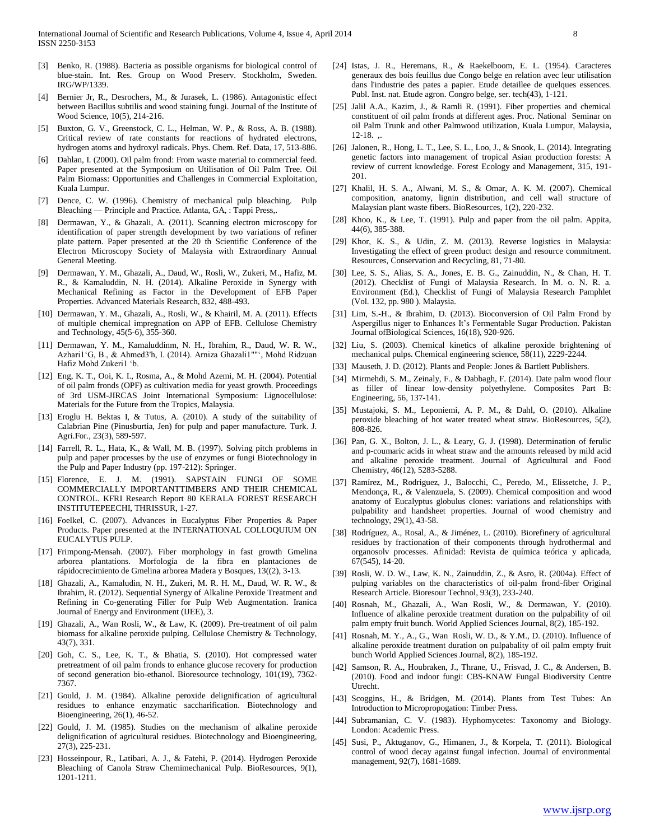- [3] Benko, R. (1988). Bacteria as possible organisms for biological control of blue-stain. Int. Res. Group on Wood Preserv. Stockholm, Sweden. IRG/WP/1339.
- Bernier Jr, R., Desrochers, M., & Jurasek, L. (1986). Antagonistic effect between Bacillus subtilis and wood staining fungi. Journal of the Institute of Wood Science, 10(5), 214-216.
- [5] Buxton, G. V., Greenstock, C. L., Helman, W. P., & Ross, A. B. (1988). Critical review of rate constants for reactions of hydrated electrons, hydrogen atoms and hydroxyl radicals. Phys. Chem. Ref. Data, 17, 513-886.
- [6] Dahlan, I. (2000). Oil palm frond: From waste material to commercial feed. Paper presented at the Symposium on Utilisation of Oil Palm Tree. Oil Palm Biomass: Opportunities and Challenges in Commercial Exploitation, Kuala Lumpur.
- [7] Dence, C. W. (1996). Chemistry of mechanical pulp bleaching. Pulp Bleaching — Principle and Practice. Atlanta, GA, : Tappi Press,.
- [8] Dermawan, Y., & Ghazali, A. (2011). Scanning electron microscopy for identification of paper strength development by two variations of refiner plate pattern. Paper presented at the 20 th Scientific Conference of the Electron Microscopy Society of Malaysia with Extraordinary Annual General Meeting.
- [9] Dermawan, Y. M., Ghazali, A., Daud, W., Rosli, W., Zukeri, M., Hafiz, M. R., & Kamaluddin, N. H. (2014). Alkaline Peroxide in Synergy with Mechanical Refining as Factor in the Development of EFB Paper Properties. Advanced Materials Research, 832, 488-493.
- [10] Dermawan, Y. M., Ghazali, A., Rosli, W., & Khairil, M. A. (2011). Effects of multiple chemical impregnation on APP of EFB. Cellulose Chemistry and Technology, 45(5-6), 355-360.
- [11] Dermawan, Y. M., Kamaluddinm, N. H., Ibrahim, R., Daud, W. R. W., Azhari1'G, B., & Ahmed3'h, I. (2014). Arniza Ghazali1""', Mohd Ridzuan Hafiz Mohd Zukeri1 'b.
- [12] Eng, K. T., Ooi, K. I., Rosma, A., & Mohd Azemi, M. H. (2004). Potential of oil palm fronds (OPF) as cultivation media for yeast growth. Proceedings of 3rd USM-JIRCAS Joint International Symposium: Lignocellulose: Materials for the Future from the Tropics, Malaysia.
- [13] Eroglu H. Bektas I, & Tutus, A. (2010). A study of the suitability of Calabrian Pine (Pinusburtia, Jen) for pulp and paper manufacture. Turk. J. Agri.For., 23(3), 589-597.
- [14] Farrell, R. L., Hata, K., & Wall, M. B. (1997). Solving pitch problems in pulp and paper processes by the use of enzymes or fungi Biotechnology in the Pulp and Paper Industry (pp. 197-212): Springer.
- [15] Florence, E. J. M. (1991). SAPSTAIN FUNGI OF SOME COMMERCIALLY IMPORTANTTIMBERS AND THEIR CHEMICAL CONTROL. KFRI Research Report 80 KERALA FOREST RESEARCH INSTITUTEPEECHI, THRISSUR, 1-27.
- [16] Foelkel, C. (2007). Advances in Eucalyptus Fiber Properties & Paper Products. Paper presented at the INTERNATIONAL COLLOQUIUM ON EUCALYTUS PULP.
- [17] Frimpong-Mensah. (2007). Fiber morphology in fast growth Gmelina arborea plantations. Morfología de la fibra en plantaciones de rápidocrecimiento de Gmelina arborea Madera y Bosques, 13((2), 3-13.
- [18] Ghazali, A., Kamaludin, N. H., Zukeri, M. R. H. M., Daud, W. R. W., & Ibrahim, R. (2012). Sequential Synergy of Alkaline Peroxide Treatment and Refining in Co-generating Filler for Pulp Web Augmentation. Iranica Journal of Energy and Environment (IJEE), 3.
- [19] Ghazali, A., Wan Rosli, W., & Law, K. (2009). Pre-treatment of oil palm biomass for alkaline peroxide pulping. Cellulose Chemistry & Technology, 43(7), 331.
- [20] Goh, C. S., Lee, K. T., & Bhatia, S. (2010). Hot compressed water pretreatment of oil palm fronds to enhance glucose recovery for production of second generation bio-ethanol. Bioresource technology, 101(19), 7362- 7367.
- [21] Gould, J. M. (1984). Alkaline peroxide delignification of agricultural residues to enhance enzymatic saccharification. Biotechnology and Bioengineering, 26(1), 46-52.
- [22] Gould, J. M. (1985). Studies on the mechanism of alkaline peroxide delignification of agricultural residues. Biotechnology and Bioengineering, 27(3), 225-231.
- [23] Hosseinpour, R., Latibari, A. J., & Fatehi, P. (2014). Hydrogen Peroxide Bleaching of Canola Straw Chemimechanical Pulp. BioResources, 9(1), 1201-1211.
- [24] Istas, J. R., Heremans, R., & Raekelboom, E. L. (1954). Caracteres generaux des bois feuillus due Congo belge en relation avec leur utilisation dans l'industrie des pates a papier. Etude detaillee de quelques essences. Publ. Inst. nat. Etude agron. Congro belge, ser. tech(43), 1-121.
- [25] Jalil A.A., Kazim, J., & Ramli R. (1991). Fiber properties and chemical constituent of oil palm fronds at different ages. Proc. National Seminar on oil Palm Trunk and other Palmwood utilization, Kuala Lumpur, Malaysia, 12-18. ,.
- [26] Jalonen, R., Hong, L. T., Lee, S. L., Loo, J., & Snook, L. (2014). Integrating genetic factors into management of tropical Asian production forests: A review of current knowledge. Forest Ecology and Management, 315, 191- 201.
- [27] Khalil, H. S. A., Alwani, M. S., & Omar, A. K. M. (2007). Chemical composition, anatomy, lignin distribution, and cell wall structure of Malaysian plant waste fibers. BioResources, 1(2), 220-232.
- [28] Khoo, K., & Lee, T. (1991). Pulp and paper from the oil palm. Appita, 44(6), 385-388.
- [29] Khor, K. S., & Udin, Z. M. (2013). Reverse logistics in Malaysia: Investigating the effect of green product design and resource commitment. Resources, Conservation and Recycling, 81, 71-80.
- [30] Lee, S. S., Alias, S. A., Jones, E. B. G., Zainuddin, N., & Chan, H. T. (2012). Checklist of Fungi of Malaysia Research. In M. o. N. R. a. Environment (Ed.), Checklist of Fungi of Malaysia Research Pamphlet (Vol. 132, pp. 980 ). Malaysia.
- [31] Lim, S.-H., & Ibrahim, D. (2013). Bioconversion of Oil Palm Frond by Aspergillus niger to Enhances It's Fermentable Sugar Production. Pakistan Journal ofBiological Sciences, 16(18), 920-926.
- [32] Liu, S. (2003). Chemical kinetics of alkaline peroxide brightening of mechanical pulps. Chemical engineering science, 58(11), 2229-2244.
- [33] Mauseth, J. D. (2012). Plants and People: Jones & Bartlett Publishers.
- [34] Mirmehdi, S. M., Zeinaly, F., & Dabbagh, F. (2014). Date palm wood flour as filler of linear low-density polyethylene. Composites Part B: Engineering, 56, 137-141.
- [35] Mustajoki, S. M., Leponiemi, A. P. M., & Dahl, O. (2010). Alkaline peroxide bleaching of hot water treated wheat straw. BioResources, 5(2), 808-826.
- [36] Pan, G. X., Bolton, J. L., & Leary, G. J. (1998). Determination of ferulic and p-coumaric acids in wheat straw and the amounts released by mild acid and alkaline peroxide treatment. Journal of Agricultural and Food Chemistry, 46(12), 5283-5288.
- [37] Ramírez, M., Rodriguez, J., Balocchi, C., Peredo, M., Elissetche, J. P., Mendonça, R., & Valenzuela, S. (2009). Chemical composition and wood anatomy of Eucalyptus globulus clones: variations and relationships with pulpability and handsheet properties. Journal of wood chemistry and technology, 29(1), 43-58.
- [38] Rodríguez, A., Rosal, A., & Jiménez, L. (2010). Biorefinery of agricultural residues by fractionation of their components through hydrothermal and organosolv processes. Afinidad: Revista de química teórica y aplicada, 67(545), 14-20.
- [39] Rosli, W. D. W., Law, K. N., Zainuddin, Z., & Asro, R. (2004a). Effect of pulping variables on the characteristics of oil-palm frond-fiber Original Research Article. Bioresour Technol, 93(3), 233-240.
- [40] Rosnah, M., Ghazali, A., Wan Rosli, W., & Dermawan, Y. (2010). Influence of alkaline peroxide treatment duration on the pulpability of oil palm empty fruit bunch. World Applied Sciences Journal, 8(2), 185-192.
- [41] Rosnah, M. Y., A., G., Wan Rosli, W. D., & Y.M., D. (2010). Influence of alkaline peroxide treatment duration on pulpabality of oil palm empty fruit bunch World Applied Sciences Journal, 8(2), 185-192.
- [42] Samson, R. A., Houbraken, J., Thrane, U., Frisvad, J. C., & Andersen, B. (2010). Food and indoor fungi: CBS-KNAW Fungal Biodiversity Centre Utrecht.
- [43] Scoggins, H., & Bridgen, M. (2014). Plants from Test Tubes: An Introduction to Micropropogation: Timber Press.
- [44] Subramanian, C. V. (1983). Hyphomycetes: Taxonomy and Biology. London: Academic Press.
- [45] Susi, P., Aktuganov, G., Himanen, J., & Korpela, T. (2011). Biological control of wood decay against fungal infection. Journal of environmental management, 92(7), 1681-1689.